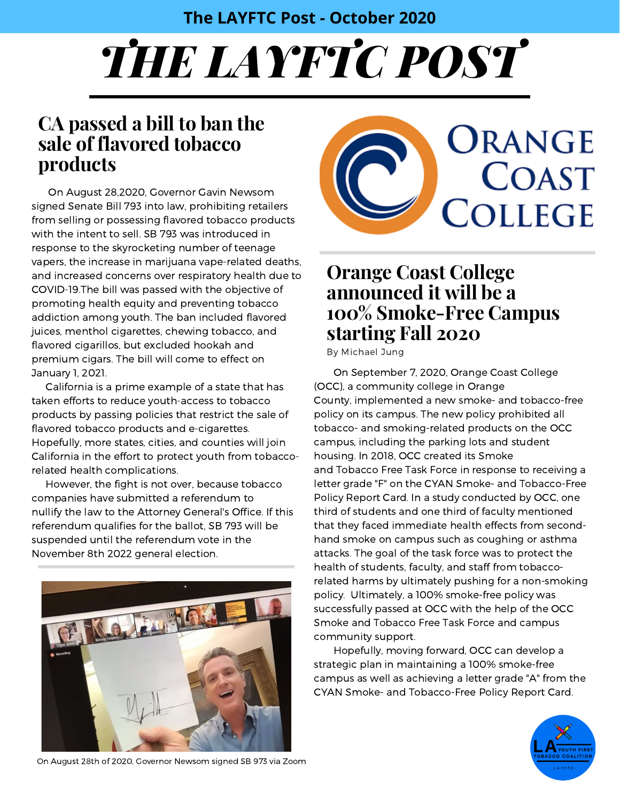#### **The LAYFTC Post - October 2020**

# *THE LAYFTC POST*

### **CA passed a bill to ban the sale of flavored tobacco products**

On August 28,2020, Governor Gavin Newsom signed Senate Bill 793 into law, prohibiting retailers from selling or possessing flavored tobacco products with the intent to sell. SB 793 was introduced in response to the skyrocketing number of teenage vapers, the increase in marijuana vape-related deaths, and increased concerns over respiratory health due to COVID-19.The bill was passed with the objective of promoting health equity and preventing tobacco addiction among youth. The ban included flavored juices, menthol cigarettes, chewing tobacco, and flavored cigarillos, but excluded hookah and premium cigars. The bill will come to effect on January 1, 2021.

California is a prime example of a state that has taken efforts to reduce youth-access to tobacco products by passing policies that restrict the sale of flavored tobacco products and e-cigarettes. Hopefully, more states, cities, and counties will join California in the effort to protect youth from tobaccorelated health complications.

However, the fight is not over, because tobacco companies have submitted a referendum to nullify the law to the Attorney General's Office. If this referendum qualifies for the ballot, SB 793 will be suspended until the referendum vote in the November 8th 2022 general election.





### **Orange Coast College announced it will be a 100% Smoke-Free Campus starting Fall 2020**

By Michael Jung

On September 7, 2020, Orange Coast College (OCC), a community college in Orange County, implemented a new smoke- and tobacco-free policy on its campus. The new policy prohibited all tobacco- and smoking-related products on the OCC campus, including the parking lots and student housing. In 2018, OCC created its Smoke and Tobacco Free Task Force in response to receiving a letter grade "F" on the CYAN Smoke- and Tobacco-Free Policy Report Card. In a study conducted by OCC, one third of students and one third of faculty mentioned that they faced immediate health effects from secondhand smoke on campus such as coughing or asthma attacks. The goal of the task force was to protect the health of students, faculty, and staff from tobaccorelated harms by ultimately pushing for a non-smoking policy. Ultimately, a 100% smoke-free policy was successfully passed at OCC with the help of the OCC Smoke and Tobacco Free Task Force and campus community support.

Hopefully, moving forward, OCC can develop a strategic plan in maintaining a 100% smoke-free campus as well as achieving a letter grade "A" from the CYAN Smoke- and Tobacco-Free Policy Report Card.



On August 28th of 2020, Governor Newsom signed SB 973 via Zoom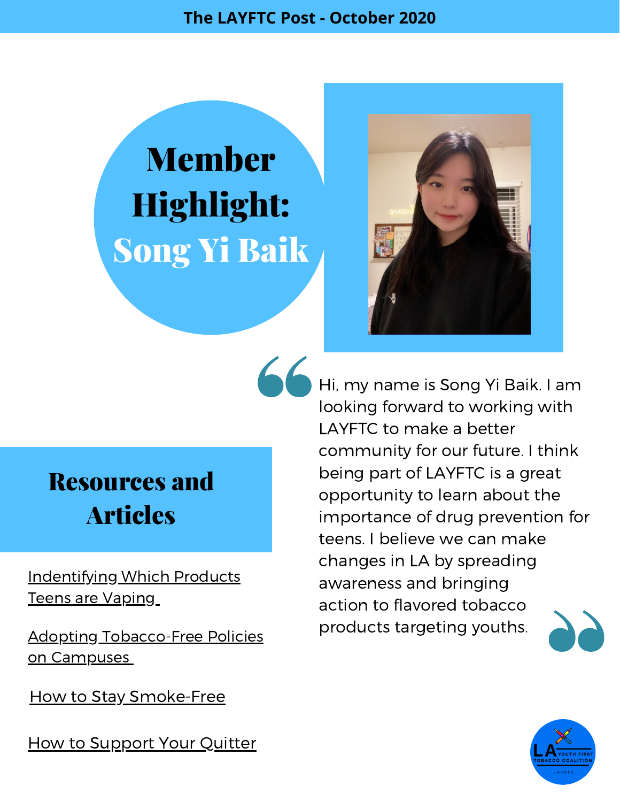**The LAYFTC Post - October 2020**

## Member Highlight: Song Yi Baik



### Resources and Articles

[Indentifying](https://tobaccofreeca.com/e-cigarettes/identify-which-products-teens-are-vaping/) Which Products Teens are Vaping

Adopting [Tobacco-Free](https://publichealthlawcenter.org/sites/default/files/resources/adopting-tobacco-free-campus-policies-2016.pdf) Policies on Campuses

How to Stay [Smoke-Free](https://www.cdc.gov/tobacco/campaign/tips/quit-smoking/guide/staying-smokefree.html)

How to [Support](https://smokefree.gov/help-others-quit/loved-ones/how-to-support-your-quitter) Your Quitter

Hi, my name is Song Yi Baik. I am looking forward to working with LAYFTC to make a better community for our future. I think being part of LAYFTC is a great opportunity to learn about the importance of drug prevention for teens. I believe we can make changes in LA by spreading awareness and bringing action to flavored tobacco products targeting youths.